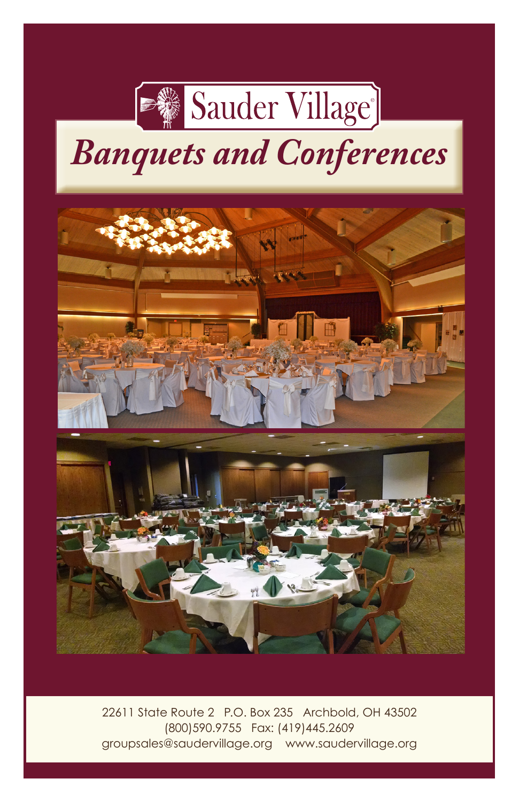

# *Banquets and Conferences*



22611 State Route 2 P.O. Box 235 Archbold, OH 43502 (800)590.9755 Fax: (419)445.2609 groupsales@saudervillage.org www.saudervillage.org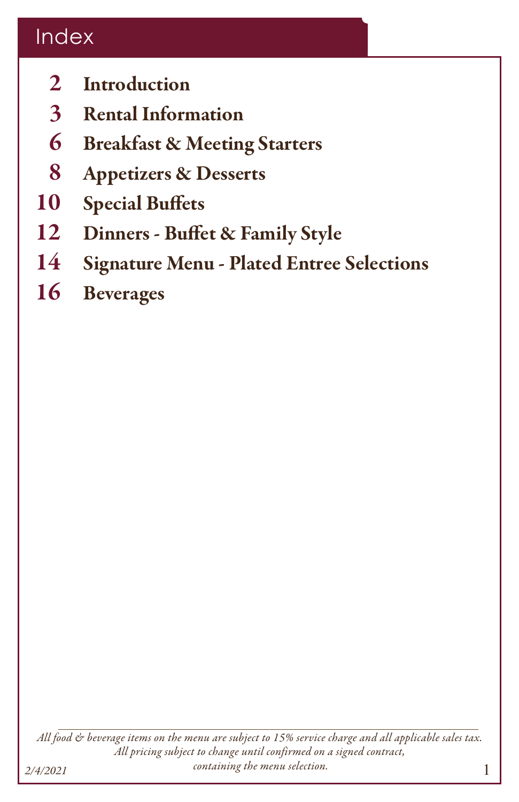# Index

- 2 Introduction
- 3 Rental Information
- 6 Breakfast & Meeting Starters
- 8 Appetizers & Desserts
- 10 Special Buffets
- 12 Dinners Buffet & Family Style
- 14 Signature Menu Plated Entree Selections
- 16 Beverages

*All food & beverage items on the menu are subject to 15% service charge and all applicable sales tax. All pricing subject to change until confirmed on a signed contract, containing the menu selection. 2/4/2021*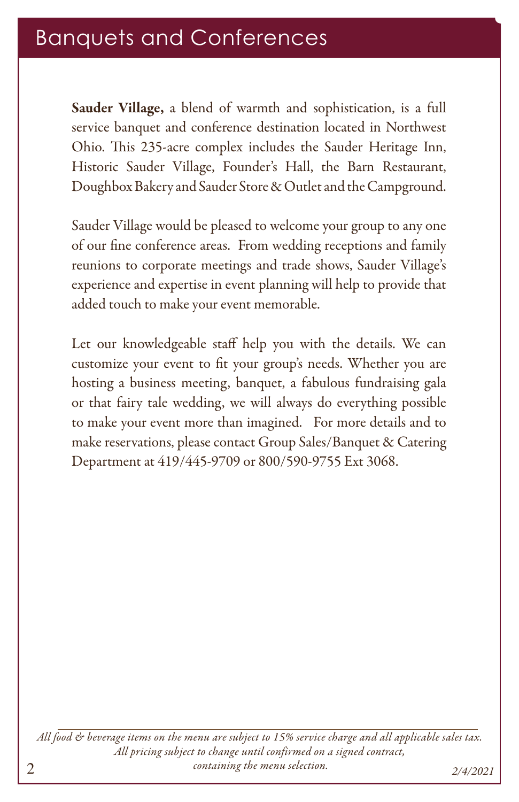# Banquets and Conferences

Sauder Village, a blend of warmth and sophistication, is a full service banquet and conference destination located in Northwest Ohio. This 235-acre complex includes the Sauder Heritage Inn, Historic Sauder Village, Founder's Hall, the Barn Restaurant, Doughbox Bakery and Sauder Store & Outlet and the Campground.

Sauder Village would be pleased to welcome your group to any one of our fine conference areas. From wedding receptions and family reunions to corporate meetings and trade shows, Sauder Village's experience and expertise in event planning will help to provide that added touch to make your event memorable.

Let our knowledgeable staff help you with the details. We can customize your event to fit your group's needs. Whether you are hosting a business meeting, banquet, a fabulous fundraising gala or that fairy tale wedding, we will always do everything possible to make your event more than imagined. For more details and to make reservations, please contact Group Sales/Banquet & Catering Department at 419/445-9709 or 800/590-9755 Ext 3068.

*All food & beverage items on the menu are subject to 15% service charge and all applicable sales tax. All pricing subject to change until confirmed on a signed contract, containing the menu selection. 2/4/2021*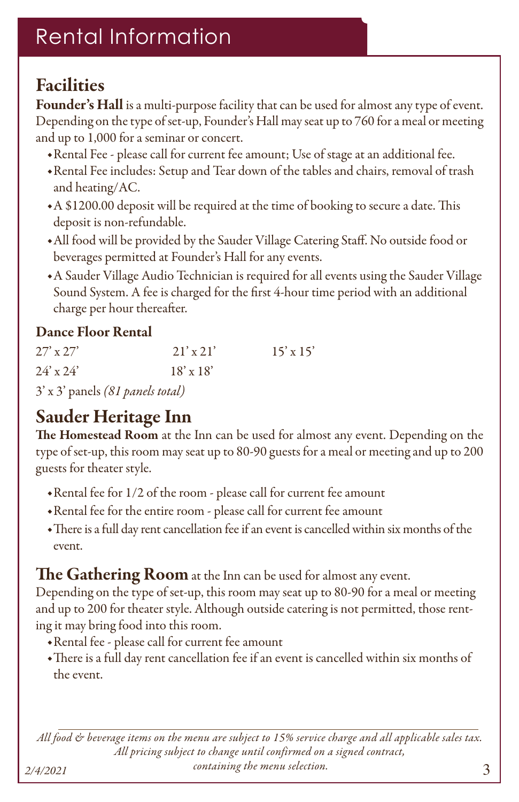# Rental Information

# **Facilities**

Founder's Hall is a multi-purpose facility that can be used for almost any type of event. Depending on the type of set-up, Founder's Hall may seat up to 760 for a meal or meeting and up to 1,000 for a seminar or concert.

- ◆Rental Fee please call for current fee amount; Use of stage at an additional fee.
- ◆Rental Fee includes: Setup and Tear down of the tables and chairs, removal of trash and heating/AC.
- ◆A \$1200.00 deposit will be required at the time of booking to secure a date. This deposit is non-refundable.
- ◆All food will be provided by the Sauder Village Catering Staff. No outside food or beverages permitted at Founder's Hall for any events.
- ◆A Sauder Village Audio Technician is required for all events using the Sauder Village Sound System. A fee is charged for the first 4-hour time period with an additional charge per hour thereafter.

#### Dance Floor Rental

| $27'$ x $27'$ | $21'$ x 21'      | $15' \times 15'$ |
|---------------|------------------|------------------|
| $24'$ x $24'$ | $18' \times 18'$ |                  |
|               |                  |                  |

3' x 3' panels *(81 panels total)*

# Sauder Heritage Inn

The Homestead Room at the Inn can be used for almost any event. Depending on the type of set-up, this room may seat up to 80-90 guests for a meal or meeting and up to 200 guests for theater style.

- ◆Rental fee for 1/2 of the room please call for current fee amount
- ◆Rental fee for the entire room please call for current fee amount
- ◆There is a full day rent cancellation fee if an event is cancelled within six months of the event.

#### The Gathering Room at the Inn can be used for almost any event.

Depending on the type of set-up, this room may seat up to 80-90 for a meal or meeting and up to 200 for theater style. Although outside catering is not permitted, those renting it may bring food into this room.

- ◆Rental fee please call for current fee amount
- ◆There is a full day rent cancellation fee if an event is cancelled within six months of the event.

*All food & beverage items on the menu are subject to 15% service charge and all applicable sales tax. All pricing subject to change until confirmed on a signed contract, containing the menu selection. 2/4/2021*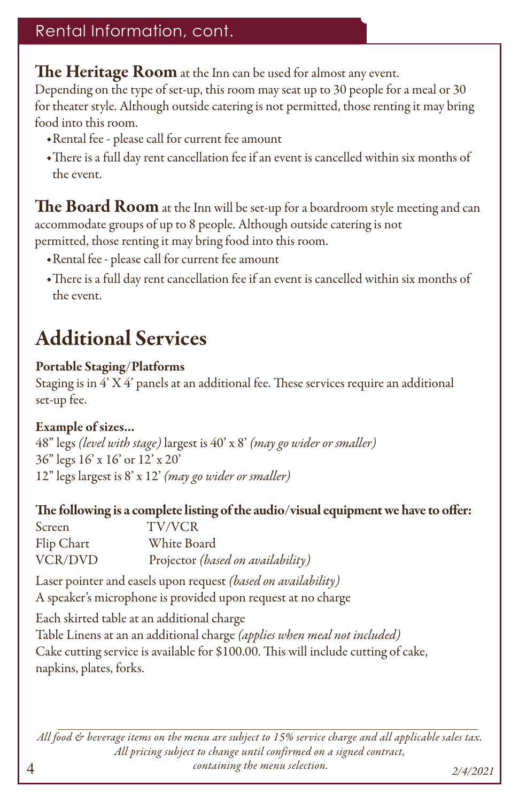### Rental Information, cont.

The Heritage Room at the Inn can be used for almost any event.

Depending on the type of set-up, this room may seat up to 30 people for a meal or 30 for theater style. Although outside catering is not permitted, those renting it may bring food into this room.

- ◆Rental fee please call for current fee amount
- ◆There is a full day rent cancellation fee if an event is cancelled within six months of the event.

The Board Room at the Inn will be set-up for a boardroom style meeting and can accommodate groups of up to 8 people. Although outside catering is not permitted, those renting it may bring food into this room.

- ◆Rental fee please call for current fee amount
- ◆There is a full day rent cancellation fee if an event is cancelled within six months of the event.

# Additional Services

#### Portable Staging/Platforms

Staging is in 4' X 4' panels at an additional fee. These services require an additional set-up fee.

#### Example of sizes...

4

48" legs *(level with stage)* largest is 40' x 8' *(may go wider or smaller)* 36" legs 16' x 16' or 12' x 20' 12" legs largest is 8' x 12' *(may go wider or smaller)*

#### The following is a complete listing of the audio/visual equipment we have to offer:

| Screen     | <b>TV/VCR</b>                     |
|------------|-----------------------------------|
| Flip Chart | White Board                       |
| VCR/DVD    | Projector (based on availability) |

Laser pointer and easels upon request *(based on availability)* A speaker's microphone is provided upon request at no charge

Each skirted table at an additional charge Table Linens at an an additional charge *(applies when meal not included)*  Cake cutting service is available for \$100.00. This will include cutting of cake, napkins, plates, forks.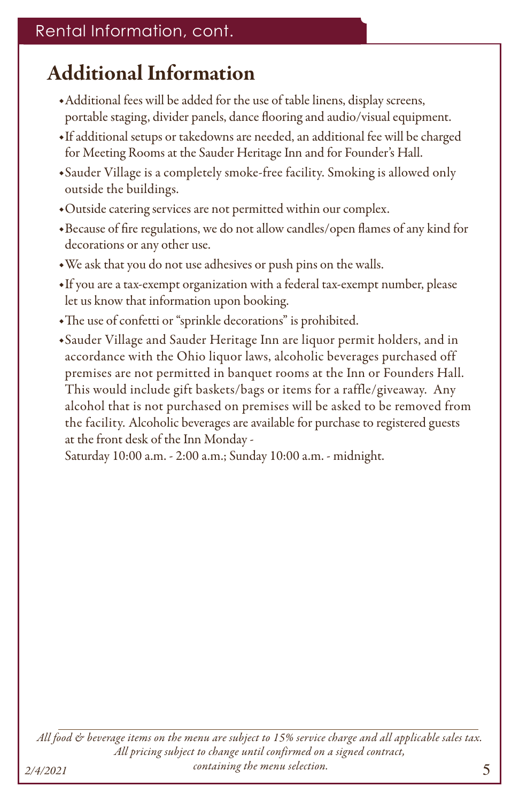# Additional Information

- ◆Additional fees will be added for the use of table linens, display screens, portable staging, divider panels, dance flooring and audio/visual equipment.
- ◆If additional setups or takedowns are needed, an additional fee will be charged for Meeting Rooms at the Sauder Heritage Inn and for Founder's Hall.
- ◆Sauder Village is a completely smoke-free facility. Smoking is allowed only outside the buildings.
- ◆Outside catering services are not permitted within our complex.
- ◆Because of fire regulations, we do not allow candles/open flames of any kind for decorations or any other use.
- ◆We ask that you do not use adhesives or push pins on the walls.
- ◆If you are a tax-exempt organization with a federal tax-exempt number, please let us know that information upon booking.
- ◆The use of confetti or "sprinkle decorations" is prohibited.
- ◆Sauder Village and Sauder Heritage Inn are liquor permit holders, and in accordance with the Ohio liquor laws, alcoholic beverages purchased off premises are not permitted in banquet rooms at the Inn or Founders Hall. This would include gift baskets/bags or items for a raffle/giveaway. Any alcohol that is not purchased on premises will be asked to be removed from the facility. Alcoholic beverages are available for purchase to registered guests at the front desk of the Inn Monday -

Saturday 10:00 a.m. - 2:00 a.m.; Sunday 10:00 a.m. - midnight.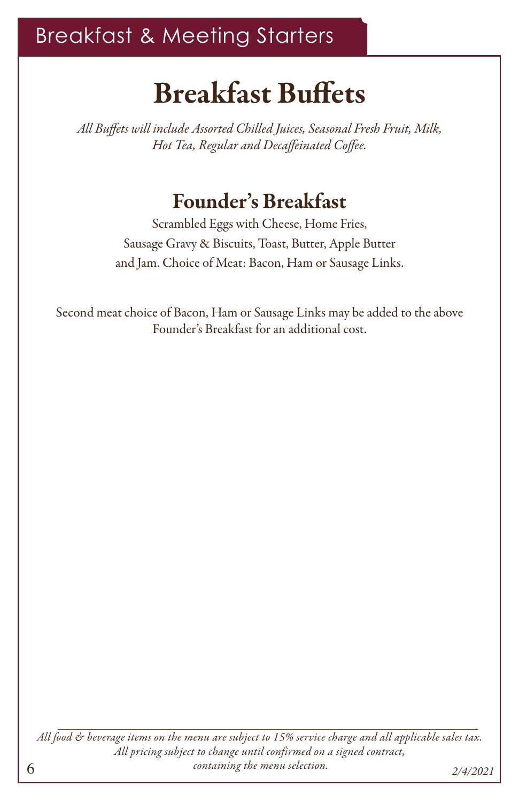# Breakfast & Meeting Starters

# Breakfast Buffets

*All Buffets will include Assorted Chilled Juices, Seasonal Fresh Fruit, Milk, Hot Tea, Regular and Decaffeinated Coffee.*

# Founder's Breakfast

Scrambled Eggs with Cheese, Home Fries, Sausage Gravy & Biscuits, Toast, Butter, Apple Butter and Jam. Choice of Meat: Bacon, Ham or Sausage Links.

Second meat choice of Bacon, Ham or Sausage Links may be added to the above Founder's Breakfast for an additional cost.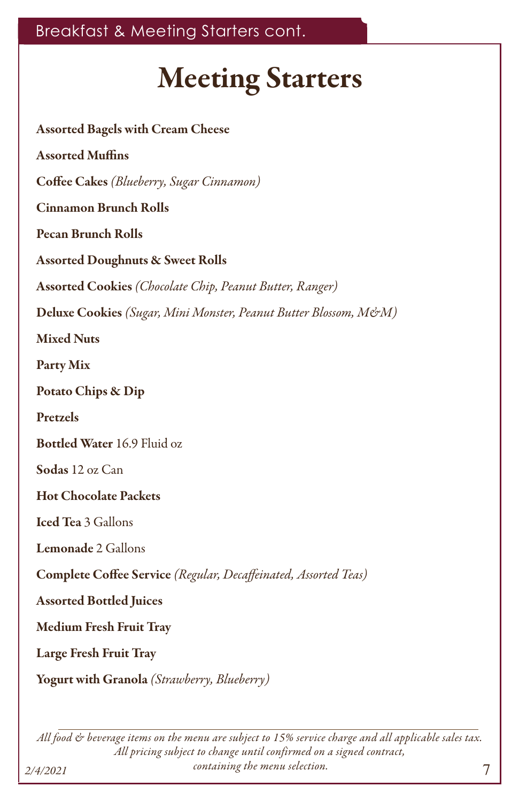# Meeting Starters

Assorted Bagels with Cream Cheese Assorted Muffins Coffee Cakes *(Blueberry, Sugar Cinnamon)* Cinnamon Brunch Rolls Pecan Brunch Rolls Assorted Doughnuts & Sweet Rolls Assorted Cookies *(Chocolate Chip, Peanut Butter, Ranger)* Deluxe Cookies *(Sugar, Mini Monster, Peanut Butter Blossom, M&M)* Mixed Nuts Party Mix Potato Chips & Dip Pretzels Bottled Water 16.9 Fluid oz Sodas 12 oz Can Hot Chocolate Packets Iced Tea 3 Gallons Lemonade 2 Gallons Complete Coffee Service *(Regular, Decaffeinated, Assorted Teas)*  Assorted Bottled Juices Medium Fresh Fruit Tray Large Fresh Fruit Tray Yogurt with Granola *(Strawberry, Blueberry)*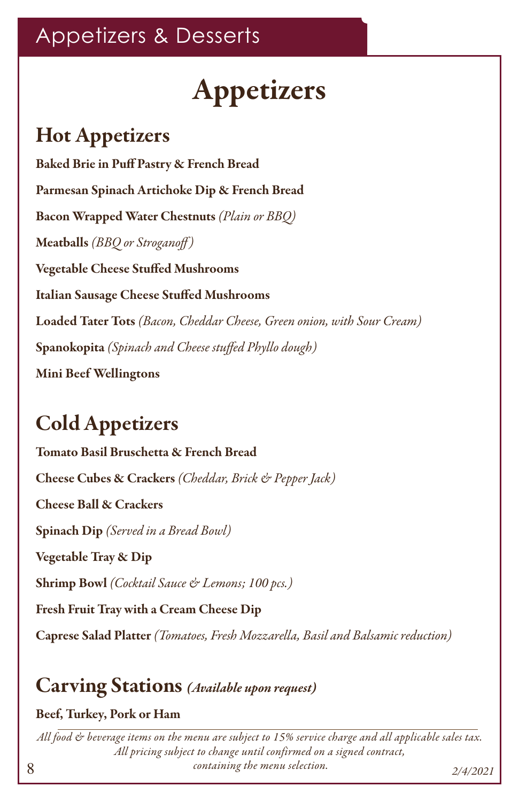# Appetizers & Desserts

# Appetizers

# Hot Appetizers

Baked Brie in Puff Pastry & French Bread Parmesan Spinach Artichoke Dip & French Bread Bacon Wrapped Water Chestnuts *(Plain or BBQ)* Meatballs *(BBQ or Stroganoff )*  Vegetable Cheese Stuffed Mushrooms Italian Sausage Cheese Stuffed Mushrooms Loaded Tater Tots *(Bacon, Cheddar Cheese, Green onion, with Sour Cream)* Spanokopita *(Spinach and Cheese stuffed Phyllo dough)* Mini Beef Wellingtons

# Cold Appetizers

Tomato Basil Bruschetta & French Bread Cheese Cubes & Crackers *(Cheddar, Brick & Pepper Jack)* Cheese Ball & Crackers Spinach Dip *(Served in a Bread Bowl)*  Vegetable Tray & Dip Shrimp Bowl *(Cocktail Sauce & Lemons; 100 pcs.)* Fresh Fruit Tray with a Cream Cheese Dip Caprese Salad Platter *(Tomatoes, Fresh Mozzarella, Basil and Balsamic reduction)*

# Carving Stations *(Available upon request)*

#### Beef, Turkey, Pork or Ham

8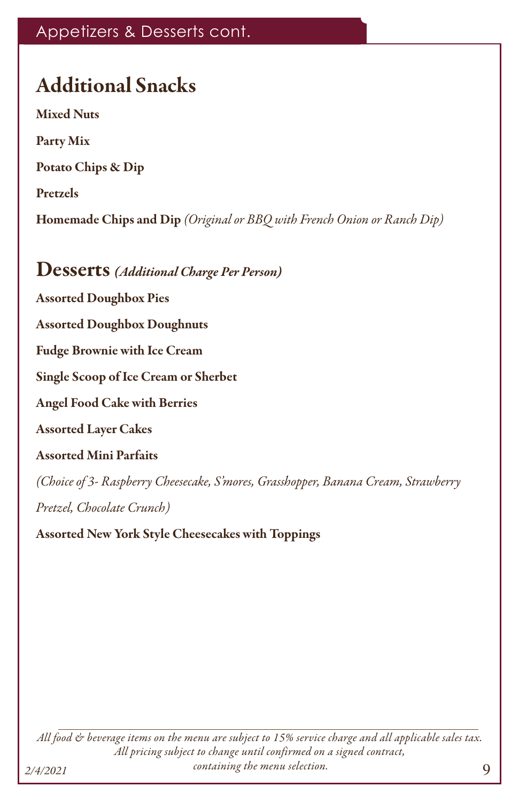## Appetizers & Desserts cont.

# Additional Snacks

Mixed Nuts Party Mix Potato Chips & Dip Pretzels Homemade Chips and Dip *(Original or BBQ with French Onion or Ranch Dip)*

### Desserts *(Additional Charge Per Person)*

Assorted Doughbox Pies

Assorted Doughbox Doughnuts

Fudge Brownie with Ice Cream

Single Scoop of Ice Cream or Sherbet

Angel Food Cake with Berries

Assorted Layer Cakes

#### Assorted Mini Parfaits

*(Choice of 3- Raspberry Cheesecake, S'mores, Grasshopper, Banana Cream, Strawberry Pretzel, Chocolate Crunch)*

Assorted New York Style Cheesecakes with Toppings

*All food & beverage items on the menu are subject to 15% service charge and all applicable sales tax. All pricing subject to change until confirmed on a signed contract, containing the menu selection. 2/4/2021*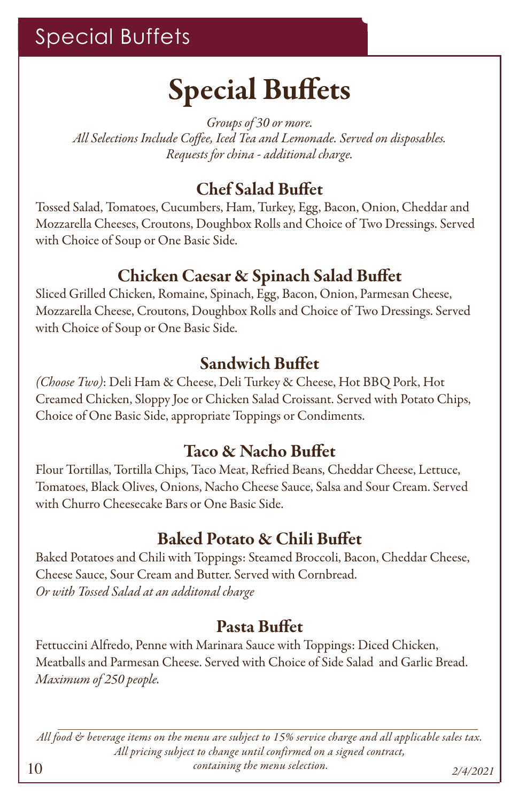# Special Buffets

# Special Buffets

*Groups of 30 or more. All Selections Include Coffee, Iced Tea and Lemonade. Served on disposables. Requests for china - additional charge.*

# Chef Salad Buffet

Tossed Salad, Tomatoes, Cucumbers, Ham, Turkey, Egg, Bacon, Onion, Cheddar and Mozzarella Cheeses, Croutons, Doughbox Rolls and Choice of Two Dressings. Served with Choice of Soup or One Basic Side.

### Chicken Caesar & Spinach Salad Buffet

Sliced Grilled Chicken, Romaine, Spinach, Egg, Bacon, Onion, Parmesan Cheese, Mozzarella Cheese, Croutons, Doughbox Rolls and Choice of Two Dressings. Served with Choice of Soup or One Basic Side.

## Sandwich Buffet

*(Choose Two)*: Deli Ham & Cheese, Deli Turkey & Cheese, Hot BBQ Pork, Hot Creamed Chicken, Sloppy Joe or Chicken Salad Croissant. Served with Potato Chips, Choice of One Basic Side, appropriate Toppings or Condiments.

## Taco & Nacho Buffet

Flour Tortillas, Tortilla Chips, Taco Meat, Refried Beans, Cheddar Cheese, Lettuce, Tomatoes, Black Olives, Onions, Nacho Cheese Sauce, Salsa and Sour Cream. Served with Churro Cheesecake Bars or One Basic Side.

## Baked Potato & Chili Buffet

Baked Potatoes and Chili with Toppings: Steamed Broccoli, Bacon, Cheddar Cheese, Cheese Sauce, Sour Cream and Butter. Served with Cornbread. *Or with Tossed Salad at an additonal charge*

## Pasta Buffet

Fettuccini Alfredo, Penne with Marinara Sauce with Toppings: Diced Chicken, Meatballs and Parmesan Cheese. Served with Choice of Side Salad and Garlic Bread. *Maximum of 250 people.*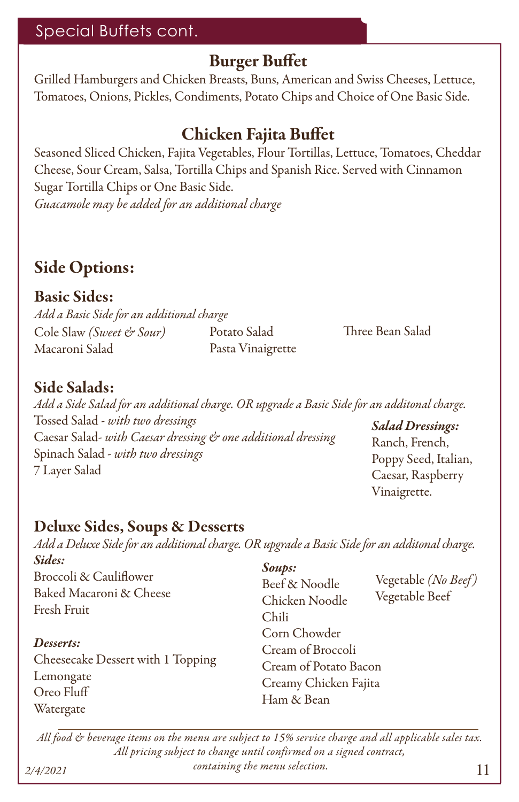#### Special Buffets cont.

#### Burger Buffet

Grilled Hamburgers and Chicken Breasts, Buns, American and Swiss Cheeses, Lettuce, Tomatoes, Onions, Pickles, Condiments, Potato Chips and Choice of One Basic Side.

## Chicken Fajita Buffet

Seasoned Sliced Chicken, Fajita Vegetables, Flour Tortillas, Lettuce, Tomatoes, Cheddar Cheese, Sour Cream, Salsa, Tortilla Chips and Spanish Rice. Served with Cinnamon Sugar Tortilla Chips or One Basic Side. *Guacamole may be added for an additional charge*

# Side Options:

Basic Sides: *Add a Basic Side for an additional charge* Cole Slaw *(Sweet & Sour)* Macaroni Salad

Potato Salad Pasta Vinaigrette Three Bean Salad

#### Side Salads:

*Add a Side Salad for an additional charge. OR upgrade a Basic Side for an additonal charge.* Tossed Salad - *with two dressings* Caesar Salad- *with Caesar dressing & one additional dressing* Spinach Salad - *with two dressings* 7 Layer Salad *Salad Dressings:*  Ranch, French, Poppy Seed, Italian, Caesar, Raspberry

#### Deluxe Sides, Soups & Desserts

*Add a Deluxe Side for an additional charge. OR upgrade a Basic Side for an additonal charge. Sides: Soups:*

Broccoli & Cauliflower Baked Macaroni & Cheese Fresh Fruit

#### *Desserts:*

Cheesecake Dessert with 1 Topping Lemongate Oreo Fluff Watergate

Beef & Noodle Chicken Noodle Chili Corn Chowder Cream of Broccoli Cream of Potato Bacon Creamy Chicken Fajita Ham & Bean

Vegetable *(No Beef )* Vegetable Beef

Vinaigrette.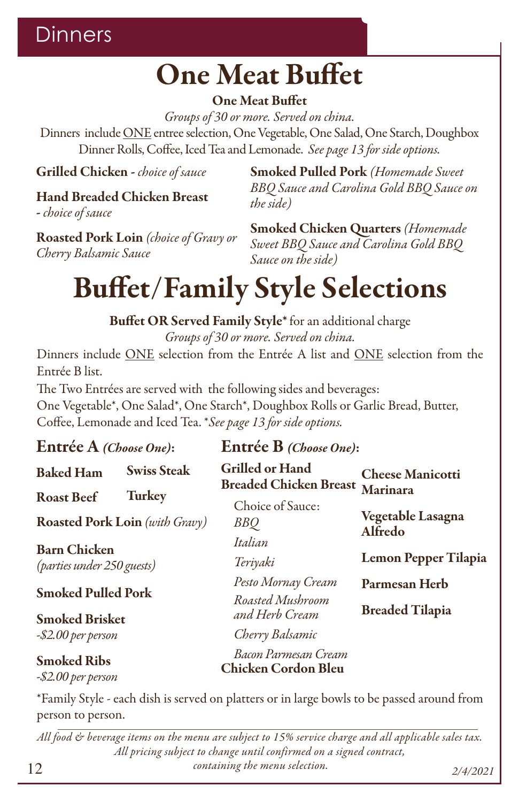# **Dinners**

# One Meat Buffet

#### One Meat Buffet

*Groups of 30 or more. Served on china.*

Dinners include ONE entree selection, One Vegetable, One Salad, One Starch, Doughbox Dinner Rolls, Coffee, Iced Tea and Lemonade. *See page 13 for side options.*

Grilled Chicken - *choice of sauce*

# Hand Breaded Chicken Breast

- *choice of sauce*

Roasted Pork Loin *(choice of Gravy or Cherry Balsamic Sauce*

Smoked Pulled Pork *(Homemade Sweet BBQ Sauce and Carolina Gold BBQ Sauce on the side)*

Smoked Chicken Quarters *(Homemade Sweet BBQ Sauce and Carolina Gold BBQ Sauce on the side)*

# Buffet/Family Style Selections

Buffet OR Served Family Style\* for an additional charge *Groups of 30 or more. Served on china.*

Dinners include ONE selection from the Entrée A list and ONE selection from the Entrée B list.

The Two Entrées are served with the following sides and beverages: One Vegetable\*, One Salad\*, One Starch\*, Doughbox Rolls or Garlic Bread, Butter, Coffee, Lemonade and Iced Tea. \**See page 13 for side options.*

| Entrée A (Choose One):                            |                                | Entrée B (Choose One):                                  |                              |  |
|---------------------------------------------------|--------------------------------|---------------------------------------------------------|------------------------------|--|
| <b>Baked Ham</b>                                  | <b>Swiss Steak</b>             | <b>Grilled or Hand</b><br><b>Breaded Chicken Breast</b> | <b>Cheese Manicotti</b>      |  |
| <b>Roast Beef</b>                                 | <b>Turkey</b>                  | Choice of Sauce:                                        | <b>Marinara</b>              |  |
|                                                   | Roasted Pork Loin (with Gravy) | BBQ                                                     | Vegetable Lasagna<br>Alfredo |  |
| <b>Barn Chicken</b><br>(parties under 250 guests) |                                | Italian                                                 |                              |  |
|                                                   |                                | Teriyaki                                                | <b>Lemon Pepper Tilapia</b>  |  |
| <b>Smoked Pulled Pork</b>                         |                                | Pesto Mornay Cream                                      | Parmesan Herb                |  |
|                                                   |                                | Roasted Mushroom                                        | <b>Breaded Tilapia</b>       |  |
| <b>Smoked Brisket</b>                             |                                | and Herb Cream                                          |                              |  |
| -\$2.00 per person                                |                                | Cherry Balsamic                                         |                              |  |
| <b>Smoked Ribs</b><br>-\$2.00 per person          |                                | Bacon Parmesan Cream<br><b>Chicken Cordon Bleu</b>      |                              |  |

\*Family Style - each dish is served on platters or in large bowls to be passed around from person to person.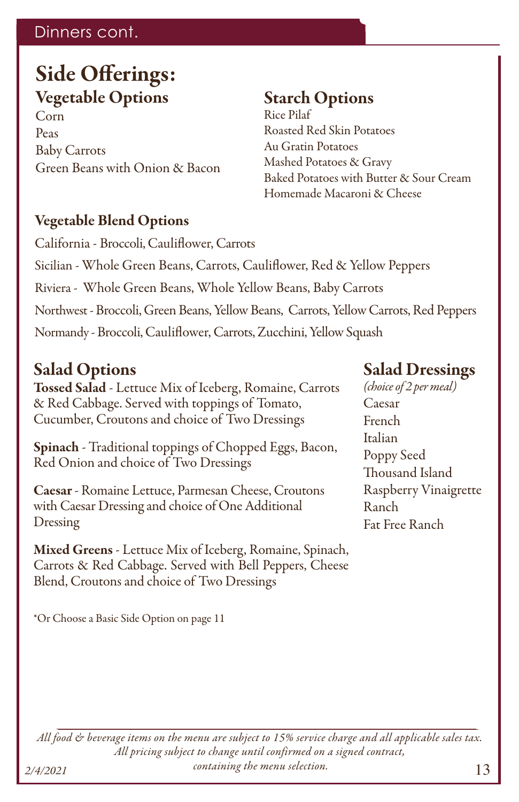### Dinners cont.

# Side Offerings: Vegetable Options

Corn Peas Baby Carrots Green Beans with Onion & Bacon

### Starch Options

Rice Pilaf Roasted Red Skin Potatoes Au Gratin Potatoes Mashed Potatoes & Gravy Baked Potatoes with Butter & Sour Cream Homemade Macaroni & Cheese

#### Vegetable Blend Options

California - Broccoli, Cauliflower, Carrots Sicilian - Whole Green Beans, Carrots, Cauliflower, Red & Yellow Peppers Riviera - Whole Green Beans, Whole Yellow Beans, Baby Carrots Northwest - Broccoli, Green Beans, Yellow Beans, Carrots, Yellow Carrots, Red Peppers Normandy - Broccoli, Cauliflower, Carrots, Zucchini, Yellow Squash

### Salad Options

Tossed Salad - Lettuce Mix of Iceberg, Romaine, Carrots & Red Cabbage. Served with toppings of Tomato, Cucumber, Croutons and choice of Two Dressings

Spinach - Traditional toppings of Chopped Eggs, Bacon, Red Onion and choice of Two Dressings

Caesar - Romaine Lettuce, Parmesan Cheese, Croutons with Caesar Dressing and choice of One Additional Dressing

Mixed Greens - Lettuce Mix of Iceberg, Romaine, Spinach, Carrots & Red Cabbage. Served with Bell Peppers, Cheese Blend, Croutons and choice of Two Dressings

\*Or Choose a Basic Side Option on page 11

#### Salad Dressings

*(choice of 2 per meal)* Caesar French Italian Poppy Seed Thousand Island Raspberry Vinaigrette Ranch Fat Free Ranch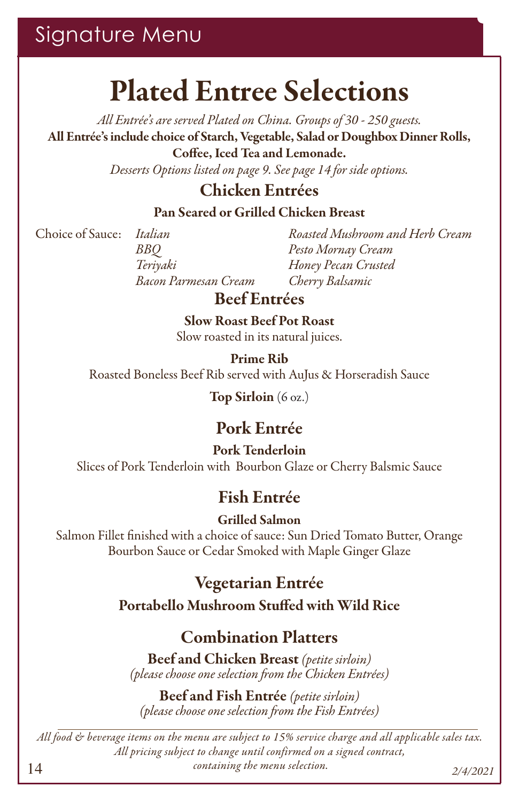# Signature Menu

# Plated Entree Selections

*All Entrée's are served Plated on China. Groups of 30 - 250 guests.* All Entrée's include choice of Starch, Vegetable, Salad or Doughbox Dinner Rolls, Coffee, Iced Tea and Lemonade.

*Desserts Options listed on page 9. See page 14 for side options.*

### Chicken Entrées

#### Pan Seared or Grilled Chicken Breast

Choice of Sauce:

*Italian BBQ Teriyaki Bacon Parmesan Cream* *Roasted Mushroom and Herb Cream Pesto Mornay Cream Honey Pecan Crusted Cherry Balsamic*

### Beef Entrées

Slow Roast Beef Pot Roast Slow roasted in its natural juices.

Prime Rib Roasted Boneless Beef Rib served with AuJus & Horseradish Sauce

Top Sirloin (6 oz.)

### Pork Entrée

#### Pork Tenderloin Slices of Pork Tenderloin with Bourbon Glaze or Cherry Balsmic Sauce

## Fish Entrée

Grilled Salmon

Salmon Fillet finished with a choice of sauce: Sun Dried Tomato Butter, Orange Bourbon Sauce or Cedar Smoked with Maple Ginger Glaze

> Vegetarian Entrée Portabello Mushroom Stuffed with Wild Rice

## Combination Platters

Beef and Chicken Breast *(petite sirloin) (please choose one selection from the Chicken Entrées)*

Beef and Fish Entrée *(petite sirloin) (please choose one selection from the Fish Entrées)*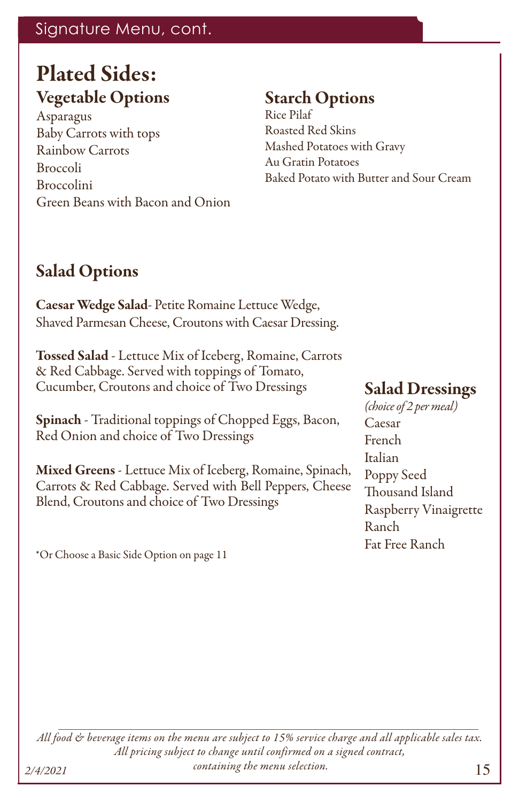## Signature Menu, cont.

# Plated Sides:

### Vegetable Options

Asparagus Baby Carrots with tops Rainbow Carrots Broccoli Broccolini Green Beans with Bacon and Onion

# Starch Options

Rice Pilaf Roasted Red Skins Mashed Potatoes with Gravy Au Gratin Potatoes Baked Potato with Butter and Sour Cream

## Salad Options

Caesar Wedge Salad- Petite Romaine Lettuce Wedge, Shaved Parmesan Cheese, Croutons with Caesar Dressing.

Tossed Salad - Lettuce Mix of Iceberg, Romaine, Carrots & Red Cabbage. Served with toppings of Tomato, Cucumber, Croutons and choice of Two Dressings

Spinach - Traditional toppings of Chopped Eggs, Bacon, Red Onion and choice of Two Dressings

Mixed Greens - Lettuce Mix of Iceberg, Romaine, Spinach, Carrots & Red Cabbage. Served with Bell Peppers, Cheese Blend, Croutons and choice of Two Dressings

\*Or Choose a Basic Side Option on page 11

### Salad Dressings

*(choice of 2 per meal)* Caesar French Italian Poppy Seed Thousand Island Raspberry Vinaigrette Ranch Fat Free Ranch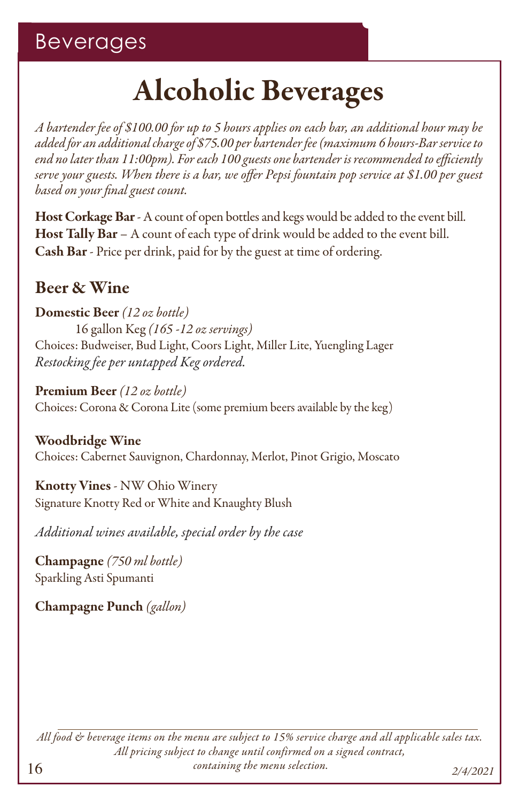# Alcoholic Beverages

*A bartender fee of \$100.00 for up to 5 hours applies on each bar, an additional hour may be added for an additional charge of \$75.00 per bartender fee (maximum 6 hours-Bar service to end no later than 11:00pm). For each 100 guests one bartender is recommended to efficiently serve your guests. When there is a bar, we offer Pepsi fountain pop service at \$1.00 per guest based on your final guest count.*

Host Corkage Bar - A count of open bottles and kegs would be added to the event bill. Host Tally Bar – A count of each type of drink would be added to the event bill. Cash Bar - Price per drink, paid for by the guest at time of ordering.

### Beer & Wine

Domestic Beer *(12 oz bottle)* 16 gallon Keg *(165 -12 oz servings)* Choices: Budweiser, Bud Light, Coors Light, Miller Lite, Yuengling Lager *Restocking fee per untapped Keg ordered.*

Premium Beer *(12 oz bottle)*  Choices: Corona & Corona Lite (some premium beers available by the keg)

Woodbridge Wine Choices: Cabernet Sauvignon, Chardonnay, Merlot, Pinot Grigio, Moscato

Knotty Vines - NW Ohio Winery Signature Knotty Red or White and Knaughty Blush

*Additional wines available, special order by the case*

Champagne *(750 ml bottle)*  Sparkling Asti Spumanti

Champagne Punch *(gallon)*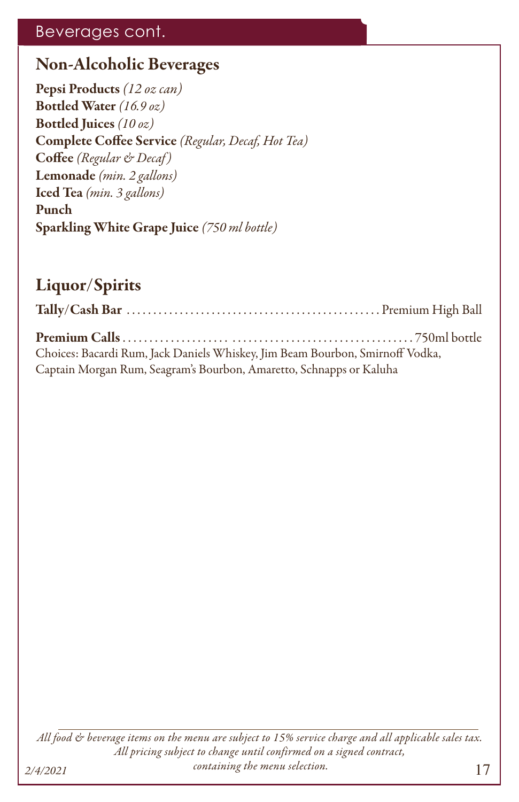### Beverages cont.

### Non-Alcoholic Beverages

Pepsi Products *(12 oz can)* Bottled Water *(16.9 oz)* Bottled Juices *(10 oz)* Complete Coffee Service *(Regular, Decaf, Hot Tea)* Coffee *(Regular & Decaf )* Lemonade *(min. 2 gallons)* Iced Tea *(min. 3 gallons)* Punch Sparkling White Grape Juice *(750 ml bottle)*

## Liquor/Spirits

| Choices: Bacardi Rum, Jack Daniels Whiskey, Jim Beam Bourbon, Smirnoff Vodka, |  |
|-------------------------------------------------------------------------------|--|
| Captain Morgan Rum, Seagram's Bourbon, Amaretto, Schnapps or Kaluha           |  |